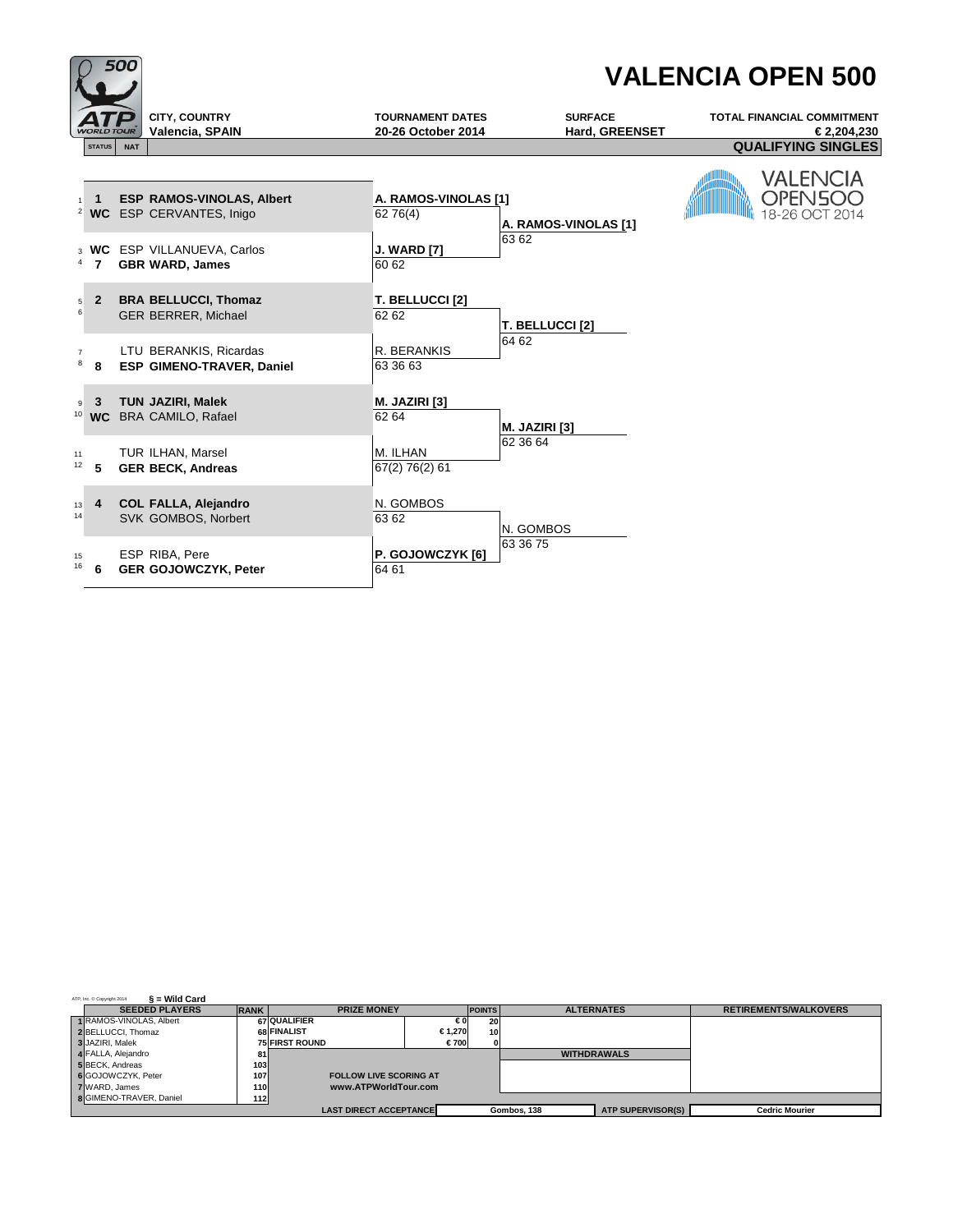

| $\S$ = Wild Card<br>ATP, Inc. @ Copyright 2014 |             |                               |        |               |             |                    |                              |
|------------------------------------------------|-------------|-------------------------------|--------|---------------|-------------|--------------------|------------------------------|
| <b>SEEDED PLAYERS</b>                          | <b>RANK</b> | <b>PRIZE MONEY</b>            |        | <b>POINTS</b> |             | <b>ALTERNATES</b>  | <b>RETIREMENTS/WALKOVERS</b> |
| 1 RAMOS-VINOLAS, Albert                        |             | <b>67 QUALIFIER</b>           | €0     | 20            |             |                    |                              |
| 2 BELLUCCI, Thomaz                             |             | 68 FINALIST                   | €1.270 | 10            |             |                    |                              |
| 3 JAZIRI, Malek                                |             | <b>75 FIRST ROUND</b>         | €700   |               |             |                    |                              |
| 4 FALLA, Alejandro                             | 81          |                               |        |               |             | <b>WITHDRAWALS</b> |                              |
| 5 BECK, Andreas                                | 103         |                               |        |               |             |                    |                              |
| 6 GOJOWCZYK, Peter                             | 107         | <b>FOLLOW LIVE SCORING AT</b> |        |               |             |                    |                              |
| 7 WARD, James                                  | <b>110</b>  | www.ATPWorldTour.com          |        |               |             |                    |                              |
| <b>8</b> GIMENO-TRAVER, Daniel                 | <b>112</b>  |                               |        |               |             |                    |                              |
|                                                |             | <b>LAST DIRECT ACCEPTANCE</b> |        |               | Gombos, 138 | ATP SUPERVISOR(S)  | <b>Cedric Mourier</b>        |